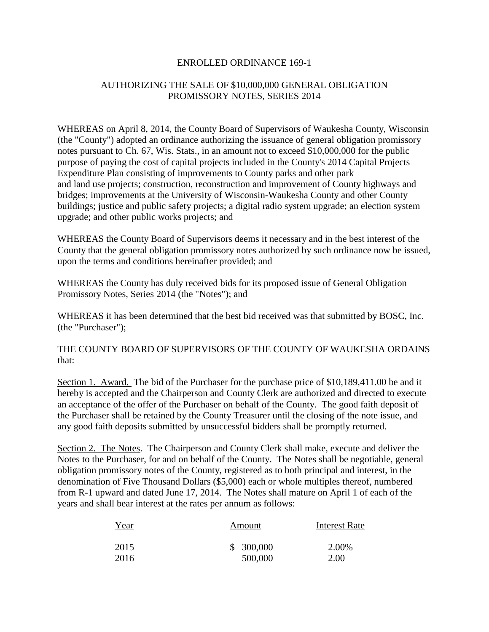### ENROLLED ORDINANCE 169-1

# AUTHORIZING THE SALE OF \$10,000,000 GENERAL OBLIGATION PROMISSORY NOTES, SERIES 2014

WHEREAS on April 8, 2014, the County Board of Supervisors of Waukesha County, Wisconsin (the "County") adopted an ordinance authorizing the issuance of general obligation promissory notes pursuant to Ch. 67, Wis. Stats., in an amount not to exceed \$10,000,000 for the public purpose of paying the cost of capital projects included in the County's 2014 Capital Projects Expenditure Plan consisting of improvements to County parks and other park and land use projects; construction, reconstruction and improvement of County highways and bridges; improvements at the University of Wisconsin-Waukesha County and other County buildings; justice and public safety projects; a digital radio system upgrade; an election system upgrade; and other public works projects; and

WHEREAS the County Board of Supervisors deems it necessary and in the best interest of the County that the general obligation promissory notes authorized by such ordinance now be issued, upon the terms and conditions hereinafter provided; and

WHEREAS the County has duly received bids for its proposed issue of General Obligation Promissory Notes, Series 2014 (the "Notes"); and

WHEREAS it has been determined that the best bid received was that submitted by BOSC, Inc. (the "Purchaser");

THE COUNTY BOARD OF SUPERVISORS OF THE COUNTY OF WAUKESHA ORDAINS that:

Section 1. Award. The bid of the Purchaser for the purchase price of \$10,189,411.00 be and it hereby is accepted and the Chairperson and County Clerk are authorized and directed to execute an acceptance of the offer of the Purchaser on behalf of the County. The good faith deposit of the Purchaser shall be retained by the County Treasurer until the closing of the note issue, and any good faith deposits submitted by unsuccessful bidders shall be promptly returned.

Section 2. The Notes. The Chairperson and County Clerk shall make, execute and deliver the Notes to the Purchaser, for and on behalf of the County. The Notes shall be negotiable, general obligation promissory notes of the County, registered as to both principal and interest, in the denomination of Five Thousand Dollars (\$5,000) each or whole multiples thereof, numbered from R-1 upward and dated June 17, 2014. The Notes shall mature on April 1 of each of the years and shall bear interest at the rates per annum as follows:

| Year | Amount    | Interest Rate |
|------|-----------|---------------|
| 2015 | \$300,000 | 2.00%         |
| 2016 | 500,000   | 2.00          |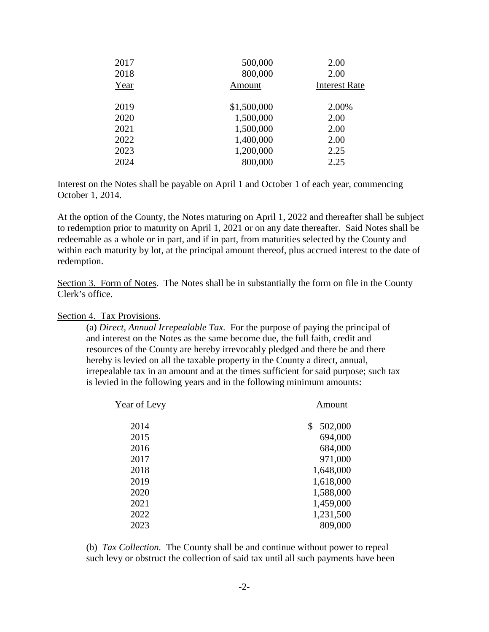| 500,000     | 2.00                 |
|-------------|----------------------|
| 800,000     | 2.00                 |
| Amount      | <b>Interest Rate</b> |
|             |                      |
| \$1,500,000 | 2.00%                |
| 1,500,000   | 2.00                 |
| 1,500,000   | 2.00                 |
| 1,400,000   | 2.00                 |
| 1,200,000   | 2.25                 |
| 800,000     | 2.25                 |
|             |                      |

Interest on the Notes shall be payable on April 1 and October 1 of each year, commencing October 1, 2014.

At the option of the County, the Notes maturing on April 1, 2022 and thereafter shall be subject to redemption prior to maturity on April 1, 2021 or on any date thereafter. Said Notes shall be redeemable as a whole or in part, and if in part, from maturities selected by the County and within each maturity by lot, at the principal amount thereof, plus accrued interest to the date of redemption.

Section 3. Form of Notes. The Notes shall be in substantially the form on file in the County Clerk's office.

### Section 4. Tax Provisions.

(a) *Direct, Annual Irrepealable Tax.* For the purpose of paying the principal of and interest on the Notes as the same become due, the full faith, credit and resources of the County are hereby irrevocably pledged and there be and there hereby is levied on all the taxable property in the County a direct, annual, irrepealable tax in an amount and at the times sufficient for said purpose; such tax is levied in the following years and in the following minimum amounts:

| Year of Levy | Amount        |
|--------------|---------------|
| 2014         | 502,000<br>\$ |
| 2015         | 694,000       |
| 2016         | 684,000       |
| 2017         | 971,000       |
| 2018         | 1,648,000     |
| 2019         | 1,618,000     |
| 2020         | 1,588,000     |
| 2021         | 1,459,000     |
| 2022         | 1,231,500     |
| 2023         | 809,000       |
|              |               |

(b) *Tax Collection.* The County shall be and continue without power to repeal such levy or obstruct the collection of said tax until all such payments have been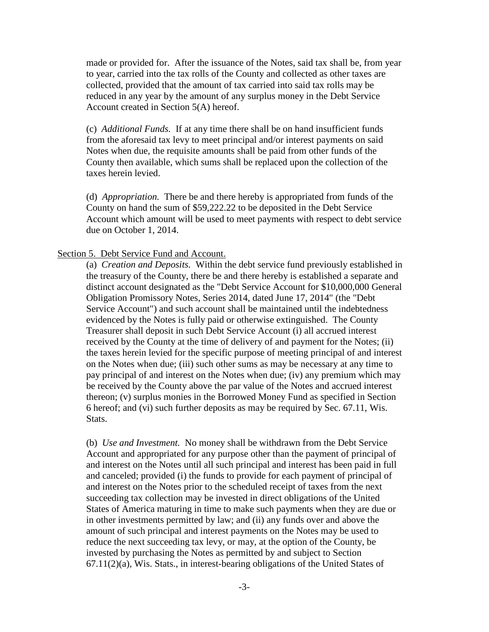made or provided for. After the issuance of the Notes, said tax shall be, from year to year, carried into the tax rolls of the County and collected as other taxes are collected, provided that the amount of tax carried into said tax rolls may be reduced in any year by the amount of any surplus money in the Debt Service Account created in Section 5(A) hereof.

(c) *Additional Funds.* If at any time there shall be on hand insufficient funds from the aforesaid tax levy to meet principal and/or interest payments on said Notes when due, the requisite amounts shall be paid from other funds of the County then available, which sums shall be replaced upon the collection of the taxes herein levied.

(d) *Appropriation.* There be and there hereby is appropriated from funds of the County on hand the sum of \$59,222.22 to be deposited in the Debt Service Account which amount will be used to meet payments with respect to debt service due on October 1, 2014.

#### Section 5. Debt Service Fund and Account.

(a) *Creation and Deposits.* Within the debt service fund previously established in the treasury of the County, there be and there hereby is established a separate and distinct account designated as the "Debt Service Account for \$10,000,000 General Obligation Promissory Notes, Series 2014, dated June 17, 2014" (the "Debt Service Account") and such account shall be maintained until the indebtedness evidenced by the Notes is fully paid or otherwise extinguished. The County Treasurer shall deposit in such Debt Service Account (i) all accrued interest received by the County at the time of delivery of and payment for the Notes; (ii) the taxes herein levied for the specific purpose of meeting principal of and interest on the Notes when due; (iii) such other sums as may be necessary at any time to pay principal of and interest on the Notes when due; (iv) any premium which may be received by the County above the par value of the Notes and accrued interest thereon; (v) surplus monies in the Borrowed Money Fund as specified in Section 6 hereof; and (vi) such further deposits as may be required by Sec. 67.11, Wis. Stats.

(b) *Use and Investment.* No money shall be withdrawn from the Debt Service Account and appropriated for any purpose other than the payment of principal of and interest on the Notes until all such principal and interest has been paid in full and canceled; provided (i) the funds to provide for each payment of principal of and interest on the Notes prior to the scheduled receipt of taxes from the next succeeding tax collection may be invested in direct obligations of the United States of America maturing in time to make such payments when they are due or in other investments permitted by law; and (ii) any funds over and above the amount of such principal and interest payments on the Notes may be used to reduce the next succeeding tax levy, or may, at the option of the County, be invested by purchasing the Notes as permitted by and subject to Section 67.11(2)(a), Wis. Stats., in interest-bearing obligations of the United States of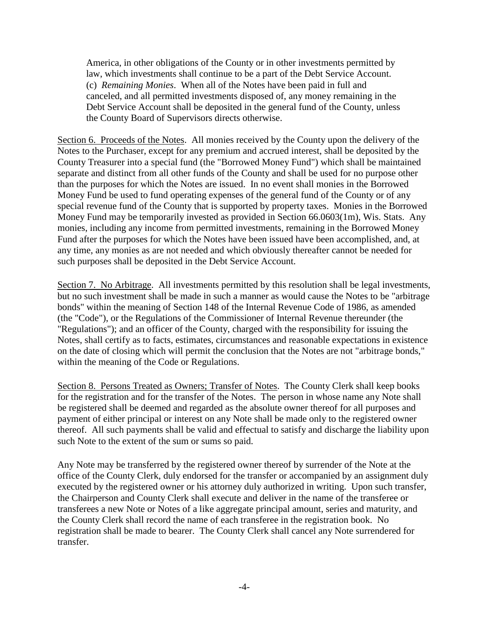America, in other obligations of the County or in other investments permitted by law, which investments shall continue to be a part of the Debt Service Account. (c) *Remaining Monies*. When all of the Notes have been paid in full and canceled, and all permitted investments disposed of, any money remaining in the Debt Service Account shall be deposited in the general fund of the County, unless the County Board of Supervisors directs otherwise.

Section 6. Proceeds of the Notes. All monies received by the County upon the delivery of the Notes to the Purchaser, except for any premium and accrued interest, shall be deposited by the County Treasurer into a special fund (the "Borrowed Money Fund") which shall be maintained separate and distinct from all other funds of the County and shall be used for no purpose other than the purposes for which the Notes are issued. In no event shall monies in the Borrowed Money Fund be used to fund operating expenses of the general fund of the County or of any special revenue fund of the County that is supported by property taxes. Monies in the Borrowed Money Fund may be temporarily invested as provided in Section 66.0603(1m), Wis. Stats. Any monies, including any income from permitted investments, remaining in the Borrowed Money Fund after the purposes for which the Notes have been issued have been accomplished, and, at any time, any monies as are not needed and which obviously thereafter cannot be needed for such purposes shall be deposited in the Debt Service Account.

Section 7. No Arbitrage. All investments permitted by this resolution shall be legal investments, but no such investment shall be made in such a manner as would cause the Notes to be "arbitrage bonds" within the meaning of Section 148 of the Internal Revenue Code of 1986, as amended (the "Code"), or the Regulations of the Commissioner of Internal Revenue thereunder (the "Regulations"); and an officer of the County, charged with the responsibility for issuing the Notes, shall certify as to facts, estimates, circumstances and reasonable expectations in existence on the date of closing which will permit the conclusion that the Notes are not "arbitrage bonds," within the meaning of the Code or Regulations.

Section 8. Persons Treated as Owners; Transfer of Notes. The County Clerk shall keep books for the registration and for the transfer of the Notes. The person in whose name any Note shall be registered shall be deemed and regarded as the absolute owner thereof for all purposes and payment of either principal or interest on any Note shall be made only to the registered owner thereof. All such payments shall be valid and effectual to satisfy and discharge the liability upon such Note to the extent of the sum or sums so paid.

Any Note may be transferred by the registered owner thereof by surrender of the Note at the office of the County Clerk, duly endorsed for the transfer or accompanied by an assignment duly executed by the registered owner or his attorney duly authorized in writing. Upon such transfer, the Chairperson and County Clerk shall execute and deliver in the name of the transferee or transferees a new Note or Notes of a like aggregate principal amount, series and maturity, and the County Clerk shall record the name of each transferee in the registration book. No registration shall be made to bearer. The County Clerk shall cancel any Note surrendered for transfer.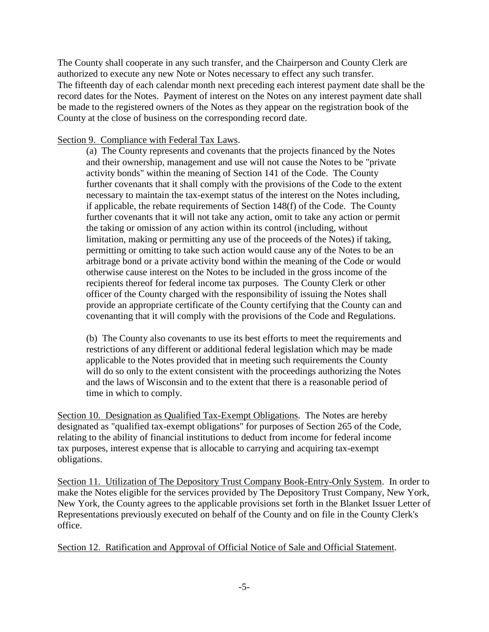The County shall cooperate in any such transfer, and the Chairperson and County Clerk are authorized to execute any new Note or Notes necessary to effect any such transfer. The fifteenth day of each calendar month next preceding each interest payment date shall be the record dates for the Notes. Payment of interest on the Notes on any interest payment date shall be made to the registered owners of the Notes as they appear on the registration book of the County at the close of business on the corresponding record date.

### Section 9. Compliance with Federal Tax Laws.

(a) The County represents and covenants that the projects financed by the Notes and their ownership, management and use will not cause the Notes to be "private activity bonds" within the meaning of Section 141 of the Code. The County further covenants that it shall comply with the provisions of the Code to the extent necessary to maintain the tax-exempt status of the interest on the Notes including, if applicable, the rebate requirements of Section 148(f) of the Code. The County further covenants that it will not take any action, omit to take any action or permit the taking or omission of any action within its control (including, without limitation, making or permitting any use of the proceeds of the Notes) if taking, permitting or omitting to take such action would cause any of the Notes to be an arbitrage bond or a private activity bond within the meaning of the Code or would otherwise cause interest on the Notes to be included in the gross income of the recipients thereof for federal income tax purposes. The County Clerk or other officer of the County charged with the responsibility of issuing the Notes shall provide an appropriate certificate of the County certifying that the County can and covenanting that it will comply with the provisions of the Code and Regulations.

(b) The County also covenants to use its best efforts to meet the requirements and restrictions of any different or additional federal legislation which may be made applicable to the Notes provided that in meeting such requirements the County will do so only to the extent consistent with the proceedings authorizing the Notes and the laws of Wisconsin and to the extent that there is a reasonable period of time in which to comply.

Section 10. Designation as Qualified Tax-Exempt Obligations. The Notes are hereby designated as "qualified tax-exempt obligations" for purposes of Section 265 of the Code, relating to the ability of financial institutions to deduct from income for federal income tax purposes, interest expense that is allocable to carrying and acquiring tax-exempt obligations.

Section 11. Utilization of The Depository Trust Company Book-Entry-Only System. In order to make the Notes eligible for the services provided by The Depository Trust Company, New York, New York, the County agrees to the applicable provisions set forth in the Blanket Issuer Letter of Representations previously executed on behalf of the County and on file in the County Clerk's office.

Section 12. Ratification and Approval of Official Notice of Sale and Official Statement.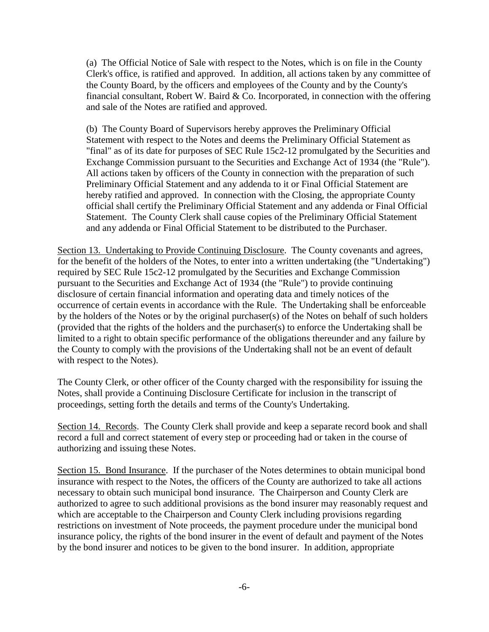(a) The Official Notice of Sale with respect to the Notes, which is on file in the County Clerk's office, is ratified and approved. In addition, all actions taken by any committee of the County Board, by the officers and employees of the County and by the County's financial consultant, Robert W. Baird & Co. Incorporated, in connection with the offering and sale of the Notes are ratified and approved.

(b) The County Board of Supervisors hereby approves the Preliminary Official Statement with respect to the Notes and deems the Preliminary Official Statement as "final" as of its date for purposes of SEC Rule 15c2-12 promulgated by the Securities and Exchange Commission pursuant to the Securities and Exchange Act of 1934 (the "Rule"). All actions taken by officers of the County in connection with the preparation of such Preliminary Official Statement and any addenda to it or Final Official Statement are hereby ratified and approved. In connection with the Closing, the appropriate County official shall certify the Preliminary Official Statement and any addenda or Final Official Statement. The County Clerk shall cause copies of the Preliminary Official Statement and any addenda or Final Official Statement to be distributed to the Purchaser.

Section 13. Undertaking to Provide Continuing Disclosure. The County covenants and agrees, for the benefit of the holders of the Notes, to enter into a written undertaking (the "Undertaking") required by SEC Rule 15c2-12 promulgated by the Securities and Exchange Commission pursuant to the Securities and Exchange Act of 1934 (the "Rule") to provide continuing disclosure of certain financial information and operating data and timely notices of the occurrence of certain events in accordance with the Rule. The Undertaking shall be enforceable by the holders of the Notes or by the original purchaser(s) of the Notes on behalf of such holders (provided that the rights of the holders and the purchaser(s) to enforce the Undertaking shall be limited to a right to obtain specific performance of the obligations thereunder and any failure by the County to comply with the provisions of the Undertaking shall not be an event of default with respect to the Notes).

The County Clerk, or other officer of the County charged with the responsibility for issuing the Notes, shall provide a Continuing Disclosure Certificate for inclusion in the transcript of proceedings, setting forth the details and terms of the County's Undertaking.

Section 14. Records. The County Clerk shall provide and keep a separate record book and shall record a full and correct statement of every step or proceeding had or taken in the course of authorizing and issuing these Notes.

Section 15. Bond Insurance. If the purchaser of the Notes determines to obtain municipal bond insurance with respect to the Notes, the officers of the County are authorized to take all actions necessary to obtain such municipal bond insurance. The Chairperson and County Clerk are authorized to agree to such additional provisions as the bond insurer may reasonably request and which are acceptable to the Chairperson and County Clerk including provisions regarding restrictions on investment of Note proceeds, the payment procedure under the municipal bond insurance policy, the rights of the bond insurer in the event of default and payment of the Notes by the bond insurer and notices to be given to the bond insurer. In addition, appropriate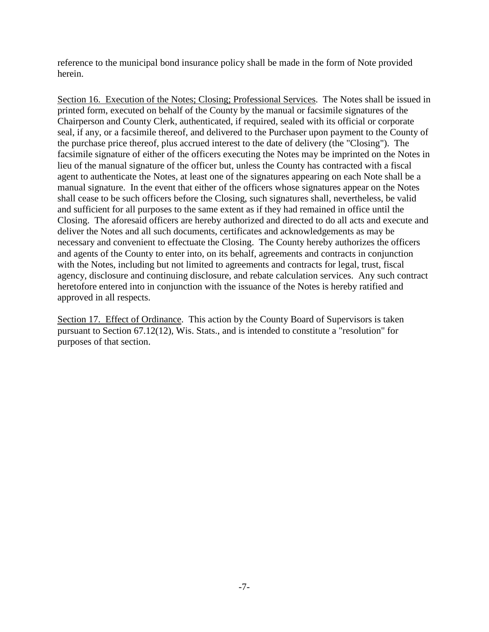reference to the municipal bond insurance policy shall be made in the form of Note provided herein.

Section 16. Execution of the Notes; Closing; Professional Services. The Notes shall be issued in printed form, executed on behalf of the County by the manual or facsimile signatures of the Chairperson and County Clerk, authenticated, if required, sealed with its official or corporate seal, if any, or a facsimile thereof, and delivered to the Purchaser upon payment to the County of the purchase price thereof, plus accrued interest to the date of delivery (the "Closing"). The facsimile signature of either of the officers executing the Notes may be imprinted on the Notes in lieu of the manual signature of the officer but, unless the County has contracted with a fiscal agent to authenticate the Notes, at least one of the signatures appearing on each Note shall be a manual signature. In the event that either of the officers whose signatures appear on the Notes shall cease to be such officers before the Closing, such signatures shall, nevertheless, be valid and sufficient for all purposes to the same extent as if they had remained in office until the Closing. The aforesaid officers are hereby authorized and directed to do all acts and execute and deliver the Notes and all such documents, certificates and acknowledgements as may be necessary and convenient to effectuate the Closing. The County hereby authorizes the officers and agents of the County to enter into, on its behalf, agreements and contracts in conjunction with the Notes, including but not limited to agreements and contracts for legal, trust, fiscal agency, disclosure and continuing disclosure, and rebate calculation services. Any such contract heretofore entered into in conjunction with the issuance of the Notes is hereby ratified and approved in all respects.

Section 17. Effect of Ordinance. This action by the County Board of Supervisors is taken pursuant to Section 67.12(12), Wis. Stats., and is intended to constitute a "resolution" for purposes of that section.